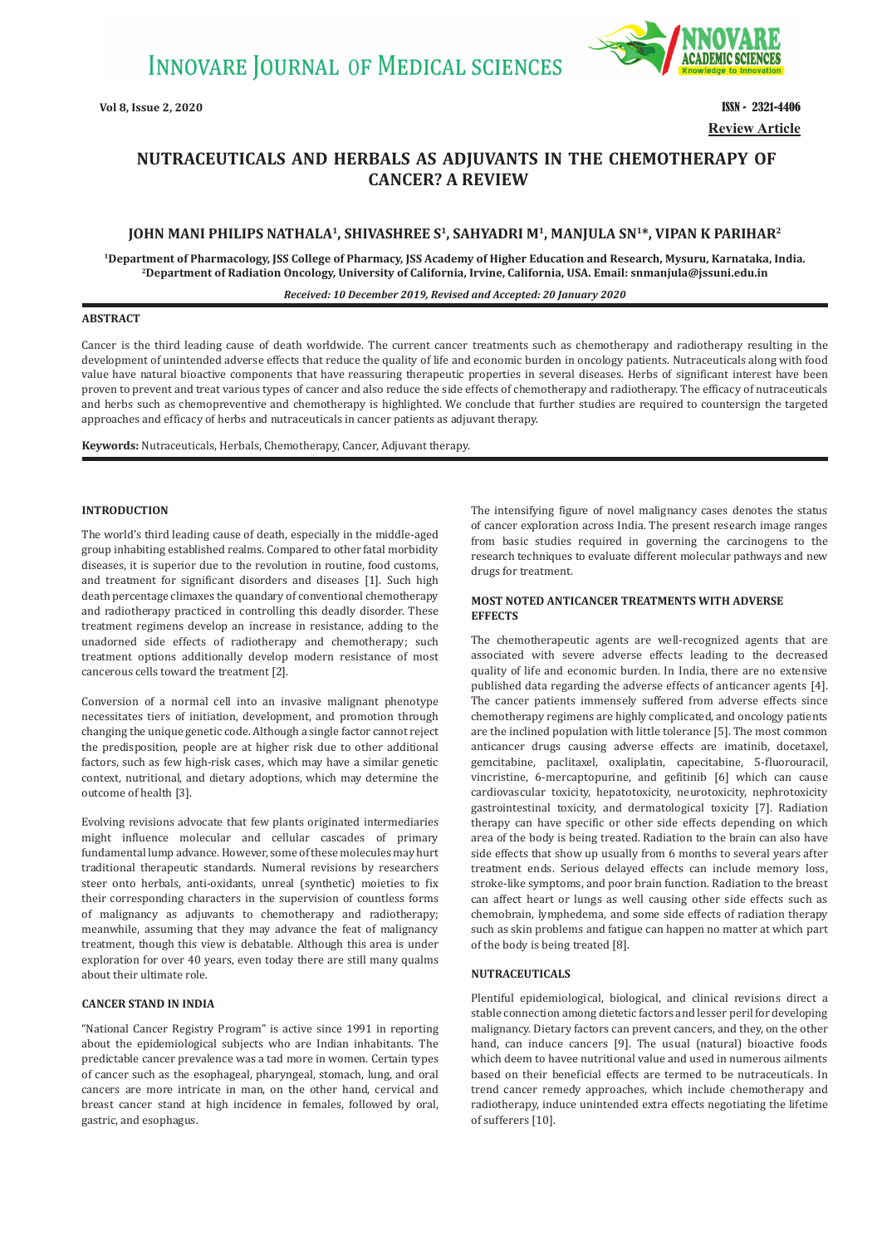

**Vol 8, Issue 2, 2020 ISSN - 2321-4406 Review Article**

# **NUTRACEUTICALS AND HERBALS AS ADJUVANTS IN THE CHEMOTHERAPY OF CANCER? A REVIEW**

# JOHN MANI PHILIPS NATHALA<sup>1</sup>, SHIVASHREE S<sup>1</sup>, SAHYADRI M<sup>1</sup>, MANJULA SN<sup>1\*</sup>, VIPAN K PARIHAR<sup>2</sup>

<sup>1</sup>Department of Pharmacology, JSS College of Pharmacy, JSS Academy of Higher Education and Research, Mysuru, Karnataka, India.<br><sup>2</sup>Department of Radiation Oncology, University of California, Irvine, California, USA. Email:

### *Received: 10 December 2019, Revised and Accepted: 20 January 2020*

# **ABSTRACT**

Cancer is the third leading cause of death worldwide. The current cancer treatments such as chemotherapy and radiotherapy resulting in the development of unintended adverse effects that reduce the quality of life and economic burden in oncology patients. Nutraceuticals along with food value have natural bioactive components that have reassuring therapeutic properties in several diseases. Herbs of significant interest have been proven to prevent and treat various types of cancer and also reduce the side effects of chemotherapy and radiotherapy. The efficacy of nutraceuticals and herbs such as chemopreventive and chemotherapy is highlighted. We conclude that further studies are required to countersign the targeted approaches and efficacy of herbs and nutraceuticals in cancer patients as adjuvant therapy.

**Keywords:** Nutraceuticals, Herbals, Chemotherapy, Cancer, Adjuvant therapy.

# **INTRODUCTION**

The world's third leading cause of death, especially in the middle-aged group inhabiting established realms. Compared to other fatal morbidity diseases, it is superior due to the revolution in routine, food customs, and treatment for significant disorders and diseases [1]. Such high death percentage climaxes the quandary of conventional chemotherapy and radiotherapy practiced in controlling this deadly disorder. These treatment regimens develop an increase in resistance, adding to the unadorned side effects of radiotherapy and chemotherapy; such treatment options additionally develop modern resistance of most cancerous cells toward the treatment [2].

Conversion of a normal cell into an invasive malignant phenotype necessitates tiers of initiation, development, and promotion through changing the unique genetic code. Although a single factor cannot reject the predisposition, people are at higher risk due to other additional factors, such as few high-risk cases, which may have a similar genetic context, nutritional, and dietary adoptions, which may determine the outcome of health [3].

Evolving revisions advocate that few plants originated intermediaries might influence molecular and cellular cascades of primary fundamental lump advance. However, some of these molecules may hurt traditional therapeutic standards. Numeral revisions by researchers steer onto herbals, anti-oxidants, unreal (synthetic) moieties to fix their corresponding characters in the supervision of countless forms of malignancy as adjuvants to chemotherapy and radiotherapy; meanwhile, assuming that they may advance the feat of malignancy treatment, though this view is debatable. Although this area is under exploration for over 40 years, even today there are still many qualms about their ultimate role.

# **CANCER STAND IN INDIA**

"National Cancer Registry Program" is active since 1991 in reporting about the epidemiological subjects who are Indian inhabitants. The predictable cancer prevalence was a tad more in women. Certain types of cancer such as the esophageal, pharyngeal, stomach, lung, and oral cancers are more intricate in man, on the other hand, cervical and breast cancer stand at high incidence in females, followed by oral, gastric, and esophagus.

The intensifying figure of novel malignancy cases denotes the status of cancer exploration across India. The present research image ranges from basic studies required in governing the carcinogens to the research techniques to evaluate different molecular pathways and new drugs for treatment.

# **MOST NOTED ANTICANCER TREATMENTS WITH ADVERSE EFFECTS**

The chemotherapeutic agents are well-recognized agents that are associated with severe adverse effects leading to the decreased quality of life and economic burden. In India, there are no extensive published data regarding the adverse effects of anticancer agents [4]. The cancer patients immensely suffered from adverse effects since chemotherapy regimens are highly complicated, and oncology patients are the inclined population with little tolerance [5]. The most common anticancer drugs causing adverse effects are imatinib, docetaxel, gemcitabine, paclitaxel, oxaliplatin, capecitabine, 5-fluorouracil, vincristine, 6-mercaptopurine, and gefitinib [6] which can cause cardiovascular toxicity, hepatotoxicity, neurotoxicity, nephrotoxicity gastrointestinal toxicity, and dermatological toxicity [7]. Radiation therapy can have specific or other side effects depending on which area of the body is being treated. Radiation to the brain can also have side effects that show up usually from 6 months to several years after treatment ends. Serious delayed effects can include memory loss, stroke-like symptoms, and poor brain function. Radiation to the breast can affect heart or lungs as well causing other side effects such as chemobrain, lymphedema, and some side effects of radiation therapy such as skin problems and fatigue can happen no matter at which part of the body is being treated [8].

# **NUTRACEUTICALS**

Plentiful epidemiological, biological, and clinical revisions direct a stable connection among dietetic factors and lesser peril for developing malignancy. Dietary factors can prevent cancers, and they, on the other hand, can induce cancers [9]. The usual (natural) bioactive foods which deem to havee nutritional value and used in numerous ailments based on their beneficial effects are termed to be nutraceuticals. In trend cancer remedy approaches, which include chemotherapy and radiotherapy, induce unintended extra effects negotiating the lifetime of sufferers [10].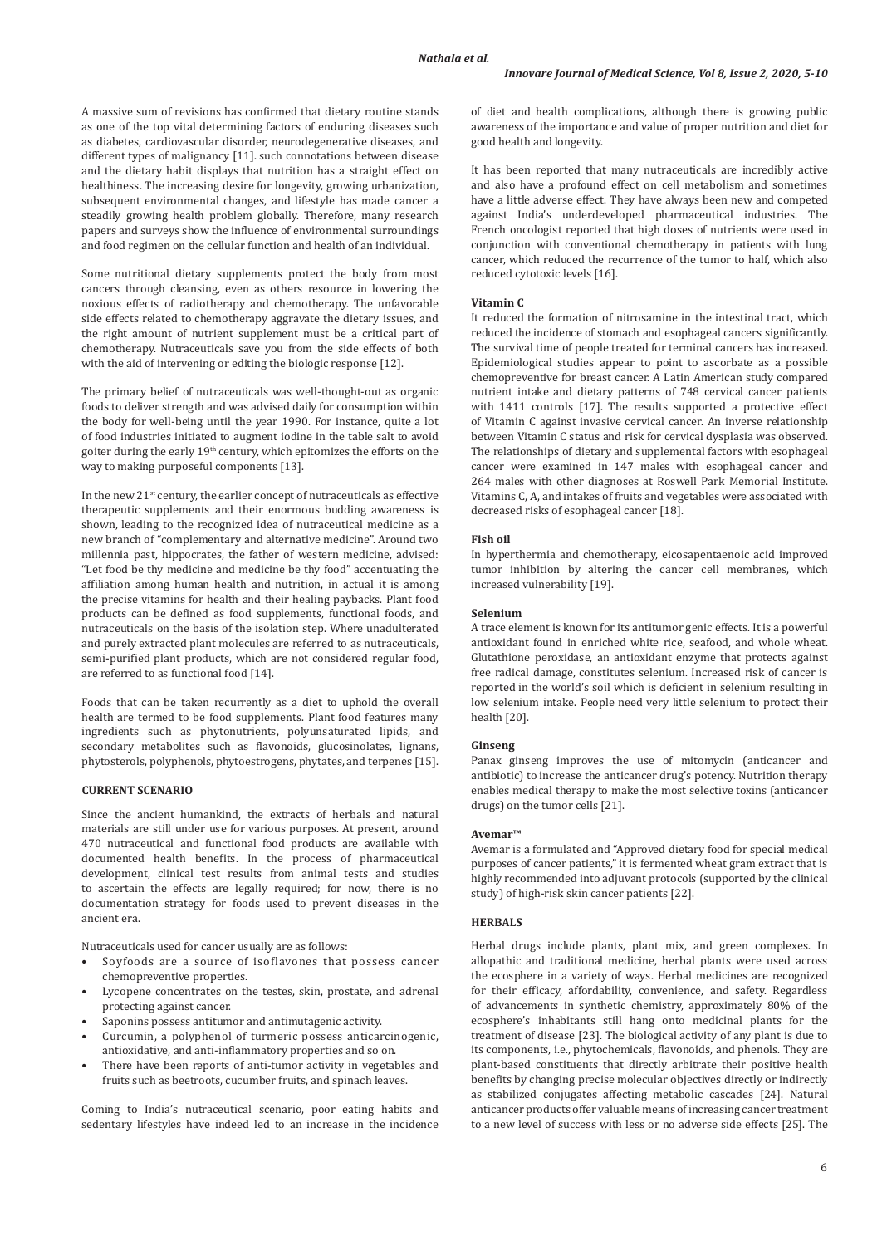A massive sum of revisions has confirmed that dietary routine stands as one of the top vital determining factors of enduring diseases such as diabetes, cardiovascular disorder, neurodegenerative diseases, and different types of malignancy [11]. such connotations between disease and the dietary habit displays that nutrition has a straight effect on healthiness. The increasing desire for longevity, growing urbanization, subsequent environmental changes, and lifestyle has made cancer a steadily growing health problem globally. Therefore, many research papers and surveys show the influence of environmental surroundings and food regimen on the cellular function and health of an individual.

Some nutritional dietary supplements protect the body from most cancers through cleansing, even as others resource in lowering the noxious effects of radiotherapy and chemotherapy. The unfavorable side effects related to chemotherapy aggravate the dietary issues, and the right amount of nutrient supplement must be a critical part of chemotherapy. Nutraceuticals save you from the side effects of both with the aid of intervening or editing the biologic response [12].

The primary belief of nutraceuticals was well-thought-out as organic foods to deliver strength and was advised daily for consumption within the body for well-being until the year 1990. For instance, quite a lot of food industries initiated to augment iodine in the table salt to avoid goiter during the early 19th century, which epitomizes the efforts on the way to making purposeful components [13].

In the new  $21<sup>st</sup>$  century, the earlier concept of nutraceuticals as effective therapeutic supplements and their enormous budding awareness is shown, leading to the recognized idea of nutraceutical medicine as a new branch of "complementary and alternative medicine". Around two millennia past, hippocrates, the father of western medicine, advised: "Let food be thy medicine and medicine be thy food" accentuating the affiliation among human health and nutrition, in actual it is among the precise vitamins for health and their healing paybacks. Plant food products can be defined as food supplements, functional foods, and nutraceuticals on the basis of the isolation step. Where unadulterated and purely extracted plant molecules are referred to as nutraceuticals, semi-purified plant products, which are not considered regular food, are referred to as functional food [14].

Foods that can be taken recurrently as a diet to uphold the overall health are termed to be food supplements. Plant food features many ingredients such as phytonutrients, polyunsaturated lipids, and secondary metabolites such as flavonoids, glucosinolates, lignans, phytosterols, polyphenols, phytoestrogens, phytates, and terpenes [15].

# **CURRENT SCENARIO**

Since the ancient humankind, the extracts of herbals and natural materials are still under use for various purposes. At present, around 470 nutraceutical and functional food products are available with documented health benefits. In the process of pharmaceutical development, clinical test results from animal tests and studies to ascertain the effects are legally required; for now, there is no documentation strategy for foods used to prevent diseases in the ancient era.

Nutraceuticals used for cancer usually are as follows:

- Soyfoods are a source of isoflavones that possess cancer chemopreventive properties.
- Lycopene concentrates on the testes, skin, prostate, and adrenal protecting against cancer.
- Saponins possess antitumor and antimutagenic activity.
- Curcumin, a polyphenol of turmeric possess anticarcinogenic, antioxidative, and anti-inflammatory properties and so on.
- There have been reports of anti-tumor activity in vegetables and fruits such as beetroots, cucumber fruits, and spinach leaves.

Coming to India's nutraceutical scenario, poor eating habits and sedentary lifestyles have indeed led to an increase in the incidence of diet and health complications, although there is growing public awareness of the importance and value of proper nutrition and diet for good health and longevity.

It has been reported that many nutraceuticals are incredibly active and also have a profound effect on cell metabolism and sometimes have a little adverse effect. They have always been new and competed against India's underdeveloped pharmaceutical industries. The French oncologist reported that high doses of nutrients were used in conjunction with conventional chemotherapy in patients with lung cancer, which reduced the recurrence of the tumor to half, which also reduced cytotoxic levels [16].

# **Vitamin C**

It reduced the formation of nitrosamine in the intestinal tract, which reduced the incidence of stomach and esophageal cancers significantly. The survival time of people treated for terminal cancers has increased. Epidemiological studies appear to point to ascorbate as a possible chemopreventive for breast cancer. A Latin American study compared nutrient intake and dietary patterns of 748 cervical cancer patients with 1411 controls [17]. The results supported a protective effect of Vitamin C against invasive cervical cancer. An inverse relationship between Vitamin C status and risk for cervical dysplasia was observed. The relationships of dietary and supplemental factors with esophageal cancer were examined in 147 males with esophageal cancer and 264 males with other diagnoses at Roswell Park Memorial Institute. Vitamins C, A, and intakes of fruits and vegetables were associated with decreased risks of esophageal cancer [18].

### **Fish oil**

In hyperthermia and chemotherapy, eicosapentaenoic acid improved tumor inhibition by altering the cancer cell membranes, which increased vulnerability [19].

#### **Selenium**

A trace element is known for its antitumor genic effects. It is a powerful antioxidant found in enriched white rice, seafood, and whole wheat. Glutathione peroxidase, an antioxidant enzyme that protects against free radical damage, constitutes selenium. Increased risk of cancer is reported in the world's soil which is deficient in selenium resulting in low selenium intake. People need very little selenium to protect their health [20].

#### **Ginseng**

Panax ginseng improves the use of mitomycin (anticancer and antibiotic) to increase the anticancer drug's potency. Nutrition therapy enables medical therapy to make the most selective toxins (anticancer drugs) on the tumor cells [21].

#### **Avemar™**

Avemar is a formulated and "Approved dietary food for special medical purposes of cancer patients," it is fermented wheat gram extract that is highly recommended into adjuvant protocols (supported by the clinical study) of high-risk skin cancer patients [22].

### **HERBALS**

Herbal drugs include plants, plant mix, and green complexes. In allopathic and traditional medicine, herbal plants were used across the ecosphere in a variety of ways. Herbal medicines are recognized for their efficacy, affordability, convenience, and safety. Regardless of advancements in synthetic chemistry, approximately 80% of the ecosphere's inhabitants still hang onto medicinal plants for the treatment of disease [23]. The biological activity of any plant is due to its components, i.e., phytochemicals, flavonoids, and phenols. They are plant-based constituents that directly arbitrate their positive health benefits by changing precise molecular objectives directly or indirectly as stabilized conjugates affecting metabolic cascades [24]. Natural anticancer products offer valuable means of increasing cancer treatment to a new level of success with less or no adverse side effects [25]. The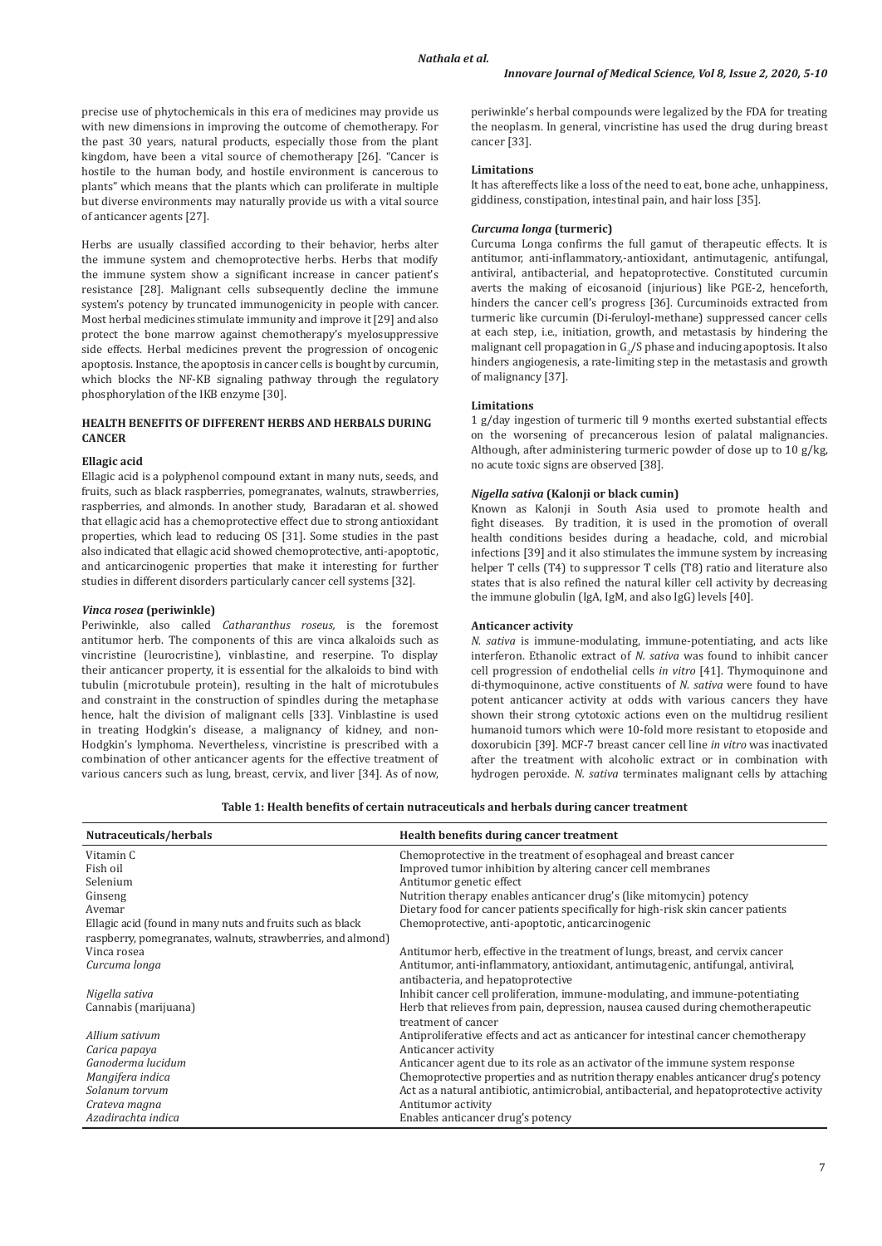precise use of phytochemicals in this era of medicines may provide us with new dimensions in improving the outcome of chemotherapy. For the past 30 years, natural products, especially those from the plant kingdom, have been a vital source of chemotherapy [26]. "Cancer is hostile to the human body, and hostile environment is cancerous to plants" which means that the plants which can proliferate in multiple but diverse environments may naturally provide us with a vital source of anticancer agents [27].

Herbs are usually classified according to their behavior, herbs alter the immune system and chemoprotective herbs. Herbs that modify the immune system show a significant increase in cancer patient's resistance [28]. Malignant cells subsequently decline the immune system's potency by truncated immunogenicity in people with cancer. Most herbal medicines stimulate immunity and improve it [29] and also protect the bone marrow against chemotherapy's myelosuppressive side effects. Herbal medicines prevent the progression of oncogenic apoptosis. Instance, the apoptosis in cancer cells is bought by curcumin, which blocks the NF-KB signaling pathway through the regulatory phosphorylation of the IKB enzyme [30].

# **HEALTH BENEFITS OF DIFFERENT HERBS AND HERBALS DURING CANCER**

# **Ellagic acid**

Ellagic acid is a polyphenol compound extant in many nuts, seeds, and fruits, such as black raspberries, pomegranates, walnuts, strawberries, raspberries, and almonds. In another study, Baradaran et al. showed that ellagic acid has a chemoprotective effect due to strong antioxidant properties, which lead to reducing OS [31]. Some studies in the past also indicated that ellagic acid showed chemoprotective, anti-apoptotic, and anticarcinogenic properties that make it interesting for further studies in different disorders particularly cancer cell systems [32].

# *Vinca rosea* **(periwinkle)**

Periwinkle, also called *Catharanthus roseus,* is the foremost antitumor herb. The components of this are vinca alkaloids such as vincristine (leurocristine), vinblastine, and reserpine. To display their anticancer property, it is essential for the alkaloids to bind with tubulin (microtubule protein), resulting in the halt of microtubules and constraint in the construction of spindles during the metaphase hence, halt the division of malignant cells [33]. Vinblastine is used in treating Hodgkin's disease, a malignancy of kidney, and non-Hodgkin's lymphoma. Nevertheless, vincristine is prescribed with a combination of other anticancer agents for the effective treatment of various cancers such as lung, breast, cervix, and liver [34]. As of now, periwinkle's herbal compounds were legalized by the FDA for treating the neoplasm. In general, vincristine has used the drug during breast cancer [33].

#### **Limitations**

It has aftereffects like a loss of the need to eat, bone ache, unhappiness, giddiness, constipation, intestinal pain, and hair loss [35].

### *Curcuma longa* **(turmeric)**

Curcuma Longa confirms the full gamut of therapeutic effects. It is antitumor, anti-inflammatory,-antioxidant, antimutagenic, antifungal, antiviral, antibacterial, and hepatoprotective. Constituted curcumin averts the making of eicosanoid (injurious) like PGE-2, henceforth, hinders the cancer cell's progress [36]. Curcuminoids extracted from turmeric like curcumin (Di-feruloyl-methane) suppressed cancer cells at each step, i.e., initiation, growth, and metastasis by hindering the malignant cell propagation in  $G_2/S$  phase and inducing apoptosis. It also hinders angiogenesis, a rate-limiting step in the metastasis and growth of malignancy [37].

#### **Limitations**

1 g/day ingestion of turmeric till 9 months exerted substantial effects on the worsening of precancerous lesion of palatal malignancies. Although, after administering turmeric powder of dose up to 10 g/kg, no acute toxic signs are observed [38].

# *Nigella sativa* **(Kalonji or black cumin)**

Known as Kalonji in South Asia used to promote health and fight diseases. By tradition, it is used in the promotion of overall health conditions besides during a headache, cold, and microbial infections [39] and it also stimulates the immune system by increasing helper T cells (T4) to suppressor T cells (T8) ratio and literature also states that is also refined the natural killer cell activity by decreasing the immune globulin (IgA, IgM, and also IgG) levels [40].

# **Anticancer activity**

*N. sativa* is immune-modulating, immune-potentiating, and acts like interferon. Ethanolic extract of *N. sativa* was found to inhibit cancer cell progression of endothelial cells *in vitro* [41]. Thymoquinone and di-thymoquinone, active constituents of *N. sativa* were found to have potent anticancer activity at odds with various cancers they have shown their strong cytotoxic actions even on the multidrug resilient humanoid tumors which were 10-fold more resistant to etoposide and doxorubicin [39]. MCF-7 breast cancer cell line *in vitro* was inactivated after the treatment with alcoholic extract or in combination with hydrogen peroxide. *N. sativa* terminates malignant cells by attaching

| Table 1: Health benefits of certain nutraceuticals and herbals during cancer treatment |  |
|----------------------------------------------------------------------------------------|--|
|----------------------------------------------------------------------------------------|--|

| Nutraceuticals/herbals                                      | Health benefits during cancer treatment                                                                                |
|-------------------------------------------------------------|------------------------------------------------------------------------------------------------------------------------|
| Vitamin C                                                   | Chemoprotective in the treatment of esophageal and breast cancer                                                       |
| Fish oil                                                    | Improved tumor inhibition by altering cancer cell membranes                                                            |
| Selenium                                                    | Antitumor genetic effect                                                                                               |
| Ginseng                                                     | Nutrition therapy enables anticancer drug's (like mitomycin) potency                                                   |
| Avemar                                                      | Dietary food for cancer patients specifically for high-risk skin cancer patients                                       |
| Ellagic acid (found in many nuts and fruits such as black)  | Chemoprotective, anti-apoptotic, anticarcinogenic                                                                      |
| raspberry, pomegranates, walnuts, strawberries, and almond) |                                                                                                                        |
| Vinca rosea                                                 | Antitumor herb, effective in the treatment of lungs, breast, and cervix cancer                                         |
| Curcuma longa                                               | Antitumor, anti-inflammatory, antioxidant, antimutagenic, antifungal, antiviral,<br>antibacteria, and hepatoprotective |
| Nigella sativa                                              | Inhibit cancer cell proliferation, immune-modulating, and immune-potentiating                                          |
| Cannabis (marijuana)                                        | Herb that relieves from pain, depression, nausea caused during chemotherapeutic                                        |
|                                                             | treatment of cancer                                                                                                    |
| Allium sativum                                              | Antiproliferative effects and act as anticancer for intestinal cancer chemotherapy                                     |
| Carica papaya                                               | Anticancer activity                                                                                                    |
| Ganoderma lucidum                                           | Anticancer agent due to its role as an activator of the immune system response                                         |
| Mangifera indica                                            | Chemoprotective properties and as nutrition therapy enables anticancer drug's potency                                  |
| Solanum torvum                                              | Act as a natural antibiotic, antimicrobial, antibacterial, and hepatoprotective activity                               |
| Crateva magna                                               | Antitumor activity                                                                                                     |
| Azadirachta indica                                          | Enables anticancer drug's potency                                                                                      |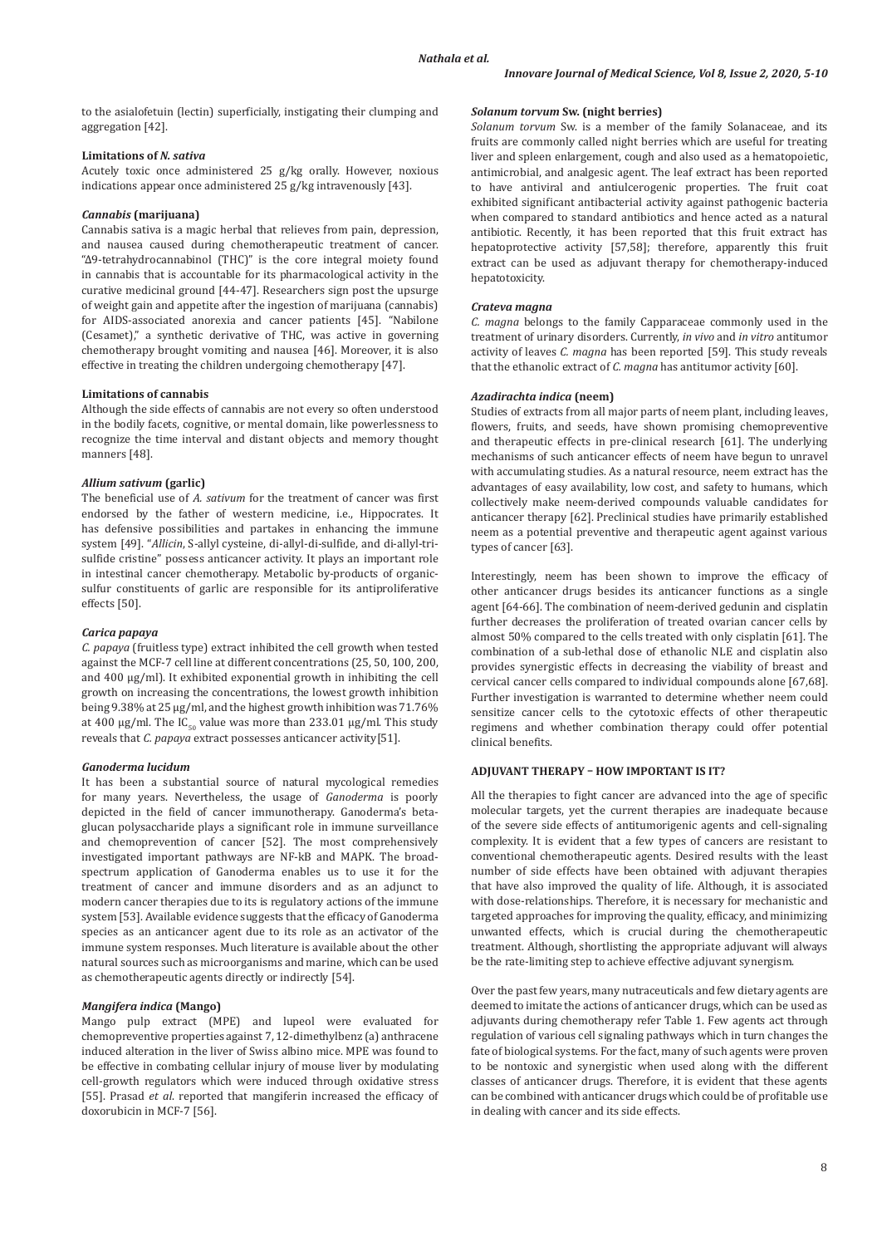to the asialofetuin (lectin) superficially, instigating their clumping and aggregation [42].

# **Limitations of** *N. sativa*

Acutely toxic once administered 25 g/kg orally. However, noxious indications appear once administered 25 g/kg intravenously [43].

### *Cannabis* **(marijuana)**

Cannabis sativa is a magic herbal that relieves from pain, depression, and nausea caused during chemotherapeutic treatment of cancer. "Δ9-tetrahydrocannabinol (THC)" is the core integral moiety found in cannabis that is accountable for its pharmacological activity in the curative medicinal ground [44-47]. Researchers sign post the upsurge of weight gain and appetite after the ingestion of marijuana (cannabis) for AIDS-associated anorexia and cancer patients [45]. "Nabilone (Cesamet)," a synthetic derivative of THC, was active in governing chemotherapy brought vomiting and nausea [46]. Moreover, it is also effective in treating the children undergoing chemotherapy [47].

### **Limitations of cannabis**

Although the side effects of cannabis are not every so often understood in the bodily facets, cognitive, or mental domain, like powerlessness to recognize the time interval and distant objects and memory thought manners [48].

# *Allium sativum* **(garlic)**

The beneficial use of *A. sativum* for the treatment of cancer was first endorsed by the father of western medicine, i.e., Hippocrates. It has defensive possibilities and partakes in enhancing the immune system [49]. "*Allicin*, S-allyl cysteine, di-allyl-di-sulfide, and di-allyl-trisulfide cristine" possess anticancer activity. It plays an important role in intestinal cancer chemotherapy. Metabolic by-products of organicsulfur constituents of garlic are responsible for its antiproliferative effects [50].

#### *Carica papaya*

*C. papaya* (fruitless type) extract inhibited the cell growth when tested against the MCF-7 cell line at different concentrations (25, 50, 100, 200, and 400 µg/ml). It exhibited exponential growth in inhibiting the cell growth on increasing the concentrations, the lowest growth inhibition being 9.38% at 25 µg/ml, and the highest growth inhibition was 71.76% at 400 µg/ml. The IC<sub>50</sub> value was more than 233.01 µg/ml. This study reveals that *C. papaya* extract possesses anticancer activity[51].

#### *Ganoderma lucidum*

It has been a substantial source of natural mycological remedies for many years. Nevertheless, the usage of *Ganoderma* is poorly depicted in the field of cancer immunotherapy. Ganoderma's betaglucan polysaccharide plays a significant role in immune surveillance and chemoprevention of cancer [52]. The most comprehensively investigated important pathways are NF-kB and MAPK. The broadspectrum application of Ganoderma enables us to use it for the treatment of cancer and immune disorders and as an adjunct to modern cancer therapies due to its is regulatory actions of the immune system [53]. Available evidence suggests that the efficacy of Ganoderma species as an anticancer agent due to its role as an activator of the immune system responses. Much literature is available about the other natural sources such as microorganisms and marine, which can be used as chemotherapeutic agents directly or indirectly [54].

#### *Mangifera indica* **(Mango)**

Mango pulp extract (MPE) and lupeol were evaluated for chemopreventive properties against 7, 12-dimethylbenz (a) anthracene induced alteration in the liver of Swiss albino mice. MPE was found to be effective in combating cellular injury of mouse liver by modulating cell-growth regulators which were induced through oxidative stress [55]. Prasad *et al*. reported that mangiferin increased the efficacy of doxorubicin in MCF-7 [56].

# *Solanum torvum* **Sw. (night berries)**

*Solanum torvum* Sw. is a member of the family Solanaceae, and its fruits are commonly called night berries which are useful for treating liver and spleen enlargement, cough and also used as a hematopoietic, antimicrobial, and analgesic agent. The leaf extract has been reported to have antiviral and antiulcerogenic properties. The fruit coat exhibited significant antibacterial activity against pathogenic bacteria when compared to standard antibiotics and hence acted as a natural antibiotic. Recently, it has been reported that this fruit extract has hepatoprotective activity [57,58]; therefore, apparently this fruit extract can be used as adjuvant therapy for chemotherapy-induced hepatotoxicity.

#### *Crateva magna*

*C. magna* belongs to the family Capparaceae commonly used in the treatment of urinary disorders. Currently, *in vivo* and *in vitro* antitumor activity of leaves *C. magna* has been reported [59]. This study reveals that the ethanolic extract of *C. magna* has antitumor activity [60].

# *Azadirachta indica* **(neem)**

Studies of extracts from all major parts of neem plant, including leaves, flowers, fruits, and seeds, have shown promising chemopreventive and therapeutic effects in pre-clinical research [61]. The underlying mechanisms of such anticancer effects of neem have begun to unravel with accumulating studies. As a natural resource, neem extract has the advantages of easy availability, low cost, and safety to humans, which collectively make neem-derived compounds valuable candidates for anticancer therapy [62]. Preclinical studies have primarily established neem as a potential preventive and therapeutic agent against various types of cancer [63].

Interestingly, neem has been shown to improve the efficacy of other anticancer drugs besides its anticancer functions as a single agent [64-66]. The combination of neem-derived gedunin and cisplatin further decreases the proliferation of treated ovarian cancer cells by almost 50% compared to the cells treated with only cisplatin [61]. The combination of a sub-lethal dose of ethanolic NLE and cisplatin also provides synergistic effects in decreasing the viability of breast and cervical cancer cells compared to individual compounds alone [67,68]. Further investigation is warranted to determine whether neem could sensitize cancer cells to the cytotoxic effects of other therapeutic regimens and whether combination therapy could offer potential clinical benefits.

#### **ADJUVANT THERAPY – HOW IMPORTANT IS IT?**

All the therapies to fight cancer are advanced into the age of specific molecular targets, yet the current therapies are inadequate because of the severe side effects of antitumorigenic agents and cell-signaling complexity. It is evident that a few types of cancers are resistant to conventional chemotherapeutic agents. Desired results with the least number of side effects have been obtained with adjuvant therapies that have also improved the quality of life. Although, it is associated with dose-relationships. Therefore, it is necessary for mechanistic and targeted approaches for improving the quality, efficacy, and minimizing unwanted effects, which is crucial during the chemotherapeutic treatment. Although, shortlisting the appropriate adjuvant will always be the rate-limiting step to achieve effective adjuvant synergism.

Over the past few years, many nutraceuticals and few dietary agents are deemed to imitate the actions of anticancer drugs, which can be used as adjuvants during chemotherapy refer Table 1. Few agents act through regulation of various cell signaling pathways which in turn changes the fate of biological systems. For the fact, many of such agents were proven to be nontoxic and synergistic when used along with the different classes of anticancer drugs. Therefore, it is evident that these agents can be combined with anticancer drugs which could be of profitable use in dealing with cancer and its side effects.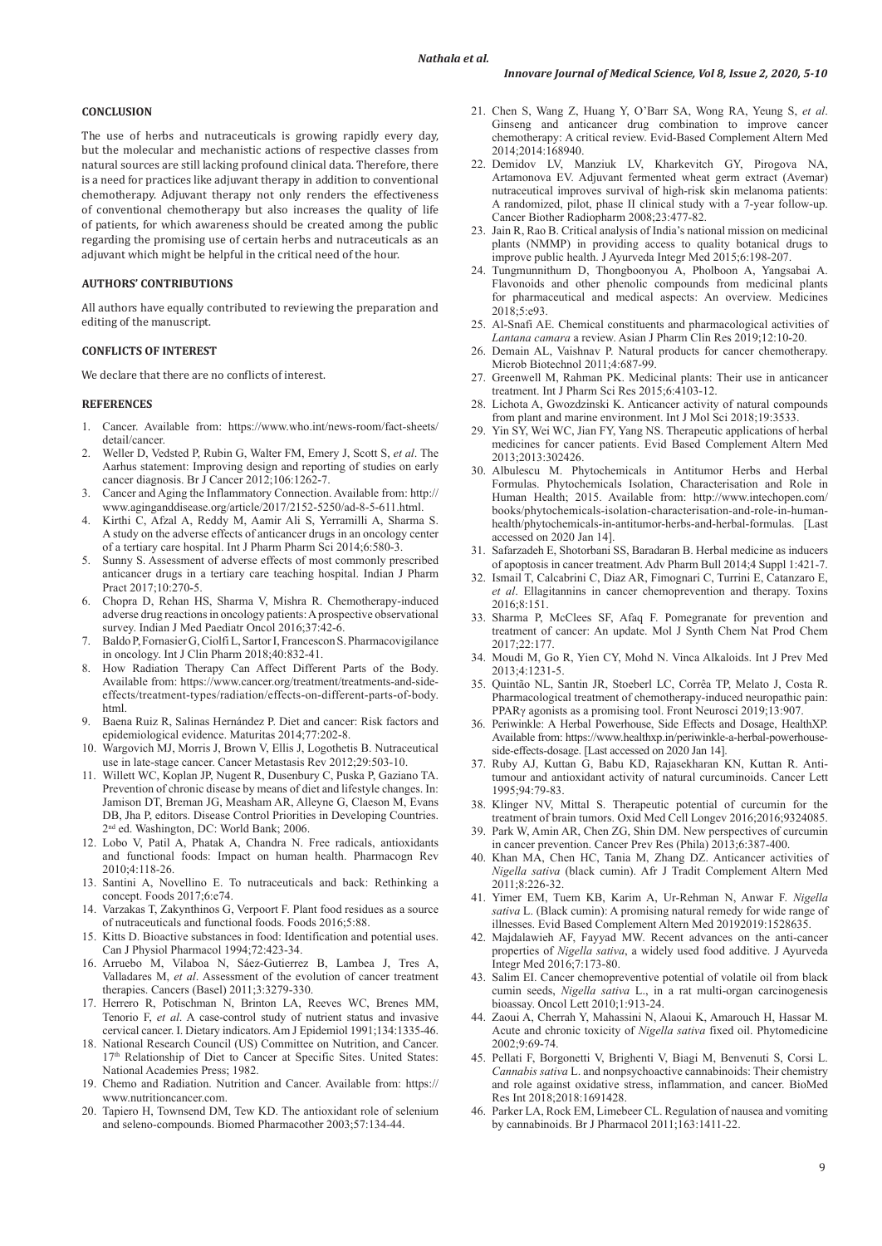#### **CONCLUSION**

The use of herbs and nutraceuticals is growing rapidly every day, but the molecular and mechanistic actions of respective classes from natural sources are still lacking profound clinical data. Therefore, there is a need for practices like adjuvant therapy in addition to conventional chemotherapy. Adjuvant therapy not only renders the effectiveness of conventional chemotherapy but also increases the quality of life of patients, for which awareness should be created among the public regarding the promising use of certain herbs and nutraceuticals as an adjuvant which might be helpful in the critical need of the hour.

# **AUTHORS' CONTRIBUTIONS**

All authors have equally contributed to reviewing the preparation and editing of the manuscript.

# **CONFLICTS OF INTEREST**

We declare that there are no conflicts of interest.

#### **REFERENCES**

- 1. Cancer. Available from: https://www.who.int/news-room/fact-sheets/ detail/cancer.
- 2. Weller D, Vedsted P, Rubin G, Walter FM, Emery J, Scott S, *et al*. The Aarhus statement: Improving design and reporting of studies on early cancer diagnosis. Br J Cancer 2012;106:1262-7.
- 3. Cancer and Aging the Inflammatory Connection. Available from: http:// www.aginganddisease.org/article/2017/2152-5250/ad-8-5-611.html.
- 4. Kirthi C, Afzal A, Reddy M, Aamir Ali S, Yerramilli A, Sharma S. A study on the adverse effects of anticancer drugs in an oncology center of a tertiary care hospital. Int J Pharm Pharm Sci 2014;6:580-3.
- 5. Sunny S. Assessment of adverse effects of most commonly prescribed anticancer drugs in a tertiary care teaching hospital. Indian J Pharm Pract 2017;10:270-5.
- 6. Chopra D, Rehan HS, Sharma V, Mishra R. Chemotherapy-induced adverse drug reactions in oncology patients: Aprospective observational survey. Indian J Med Paediatr Oncol 2016;37:42-6.
- 7. Baldo P, Fornasier G, Ciolfi L, Sartor I, Francescon S. Pharmacovigilance in oncology. Int J Clin Pharm 2018;40:832-41.
- 8. How Radiation Therapy Can Affect Different Parts of the Body. Available from: https://www.cancer.org/treatment/treatments-and-sideeffects/treatment-types/radiation/effects-on-different-parts-of-body. html.
- 9. Baena Ruiz R, Salinas Hernández P. Diet and cancer: Risk factors and epidemiological evidence. Maturitas 2014;77:202-8.
- 10. Wargovich MJ, Morris J, Brown V, Ellis J, Logothetis B. Nutraceutical use in late-stage cancer. Cancer Metastasis Rev 2012;29:503-10.
- 11. Willett WC, Koplan JP, Nugent R, Dusenbury C, Puska P, Gaziano TA. Prevention of chronic disease by means of diet and lifestyle changes. In: Jamison DT, Breman JG, Measham AR, Alleyne G, Claeson M, Evans DB, Jha P, editors. Disease Control Priorities in Developing Countries. 2nd ed. Washington, DC: World Bank; 2006.
- 12. Lobo V, Patil A, Phatak A, Chandra N. Free radicals, antioxidants and functional foods: Impact on human health. Pharmacogn Rev 2010;4:118-26.
- 13. Santini A, Novellino E. To nutraceuticals and back: Rethinking a concept. Foods 2017;6:e74.
- 14. Varzakas T, Zakynthinos G, Verpoort F. Plant food residues as a source of nutraceuticals and functional foods. Foods 2016;5:88.
- 15. Kitts D. Bioactive substances in food: Identification and potential uses. Can J Physiol Pharmacol 1994;72:423-34.
- 16. Arruebo M, Vilaboa N, Sáez-Gutierrez B, Lambea J, Tres A, Valladares M, *et al*. Assessment of the evolution of cancer treatment therapies. Cancers (Basel) 2011;3:3279-330.
- 17. Herrero R, Potischman N, Brinton LA, Reeves WC, Brenes MM, Tenorio F, *et al*. A case-control study of nutrient status and invasive cervical cancer. I. Dietary indicators. Am J Epidemiol 1991;134:1335-46.
- 18. National Research Council (US) Committee on Nutrition, and Cancer. 17<sup>th</sup> Relationship of Diet to Cancer at Specific Sites. United States: National Academies Press; 1982.
- 19. Chemo and Radiation. Nutrition and Cancer. Available from: https:// www.nutritioncancer.com
- 20. Tapiero H, Townsend DM, Tew KD. The antioxidant role of selenium and seleno-compounds. Biomed Pharmacother 2003;57:134-44.
- 21. Chen S, Wang Z, Huang Y, O'Barr SA, Wong RA, Yeung S, *et al*. Ginseng and anticancer drug combination to improve cancer chemotherapy: A critical review. Evid-Based Complement Altern Med 2014;2014:168940.
- 22. Demidov LV, Manziuk LV, Kharkevitch GY, Pirogova NA, Artamonova EV. Adjuvant fermented wheat germ extract (Avemar) nutraceutical improves survival of high-risk skin melanoma patients: A randomized, pilot, phase II clinical study with a 7-year follow-up. Cancer Biother Radiopharm 2008;23:477-82.
- 23. Jain R, Rao B. Critical analysis of India's national mission on medicinal plants (NMMP) in providing access to quality botanical drugs to improve public health. J Ayurveda Integr Med 2015;6:198-207.
- 24. Tungmunnithum D, Thongboonyou A, Pholboon A, Yangsabai A. Flavonoids and other phenolic compounds from medicinal plants for pharmaceutical and medical aspects: An overview. Medicines 2018;5:e93.
- 25. Al-Snafi AE. Chemical constituents and pharmacological activities of *Lantana camara* a review. Asian J Pharm Clin Res 2019;12:10-20.
- 26. Demain AL, Vaishnav P. Natural products for cancer chemotherapy. Microb Biotechnol 2011;4:687-99.
- 27. Greenwell M, Rahman PK. Medicinal plants: Their use in anticancer treatment. Int J Pharm Sci Res 2015;6:4103-12.
- 28. Lichota A, Gwozdzinski K. Anticancer activity of natural compounds from plant and marine environment. Int J Mol Sci 2018;19:3533.
- 29. Yin SY, Wei WC, Jian FY, Yang NS. Therapeutic applications of herbal medicines for cancer patients. Evid Based Complement Altern Med 2013;2013:302426.
- 30. Albulescu M. Phytochemicals in Antitumor Herbs and Herbal Formulas. Phytochemicals Isolation, Characterisation and Role in Human Health; 2015. Available from: http://www.intechopen.com/ books/phytochemicals-isolation-characterisation-and-role-in-humanhealth/phytochemicals-in-antitumor-herbs-and-herbal-formulas. [Last accessed on 2020 Jan 14].
- 31. Safarzadeh E, Shotorbani SS, Baradaran B. Herbal medicine as inducers of apoptosis in cancer treatment. Adv Pharm Bull 2014;4 Suppl 1:421-7.
- 32. Ismail T, Calcabrini C, Diaz AR, Fimognari C, Turrini E, Catanzaro E, *et al*. Ellagitannins in cancer chemoprevention and therapy. Toxins 2016;8:151.
- 33. Sharma P, McClees SF, Afaq F. Pomegranate for prevention and treatment of cancer: An update. Mol J Synth Chem Nat Prod Chem 2017;22:177.
- 34. Moudi M, Go R, Yien CY, Mohd N. Vinca Alkaloids. Int J Prev Med 2013;4:1231-5.
- 35. Quintão NL, Santin JR, Stoeberl LC, Corrêa TP, Melato J, Costa R. Pharmacological treatment of chemotherapy-induced neuropathic pain: PPARγ agonists as a promising tool. Front Neurosci 2019;13:907.
- 36. Periwinkle: A Herbal Powerhouse, Side Effects and Dosage, HealthXP. Available from: https://www.healthxp.in/periwinkle-a-herbal-powerhouseside-effects-dosage. [Last accessed on 2020 Jan 14].
- 37. Ruby AJ, Kuttan G, Babu KD, Rajasekharan KN, Kuttan R. Antitumour and antioxidant activity of natural curcuminoids. Cancer Lett 1995;94:79-83.
- 38. Klinger NV, Mittal S. Therapeutic potential of curcumin for the treatment of brain tumors. Oxid Med Cell Longev 2016;2016;9324085.
- Park W, Amin AR, Chen ZG, Shin DM. New perspectives of curcumin in cancer prevention. Cancer Prev Res (Phila) 2013;6:387-400.
- 40. Khan MA, Chen HC, Tania M, Zhang DZ. Anticancer activities of *Nigella sativa* (black cumin). Afr J Tradit Complement Altern Med 2011;8:226-32.
- 41. Yimer EM, Tuem KB, Karim A, Ur-Rehman N, Anwar F. *Nigella sativa* L. (Black cumin): A promising natural remedy for wide range of illnesses. Evid Based Complement Altern Med 20192019:1528635.
- 42. Majdalawieh AF, Fayyad MW. Recent advances on the anti-cancer properties of *Nigella sativa*, a widely used food additive. J Ayurveda Integr Med 2016;7:173-80.
- 43. Salim EI. Cancer chemopreventive potential of volatile oil from black cumin seeds, *Nigella sativa* L., in a rat multi-organ carcinogenesis bioassay. Oncol Lett 2010;1:913-24.
- 44. Zaoui A, Cherrah Y, Mahassini N, Alaoui K, Amarouch H, Hassar M. Acute and chronic toxicity of *Nigella sativa* fixed oil. Phytomedicine 2002;9:69-74.
- 45. Pellati F, Borgonetti V, Brighenti V, Biagi M, Benvenuti S, Corsi L. *Cannabis sativa* L. and nonpsychoactive cannabinoids: Their chemistry and role against oxidative stress, inflammation, and cancer. BioMed Res Int 2018;2018:1691428.
- 46. Parker LA, Rock EM, Limebeer CL. Regulation of nausea and vomiting by cannabinoids. Br J Pharmacol 2011;163:1411-22.